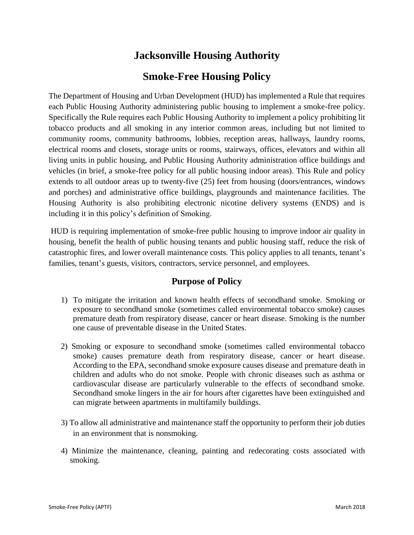# **Jacksonville Housing Authority**

## **Smoke-Free Housing Policy**

The Department of Housing and Urban Development (HUD) has implemented a Rule that requires each Public Housing Authority administering public housing to implement a smoke-free policy. Specifically the Rule requires each Public Housing Authority to implement a policy prohibiting lit tobacco products and all smoking in any interior common areas, including but not limited to community rooms, community bathrooms, lobbies, reception areas, hallways, laundry rooms, electrical rooms and closets, storage units or rooms, stairways, offices, elevators and within all living units in public housing, and Public Housing Authority administration office buildings and vehicles (in brief, a smoke-free policy for all public housing indoor areas). This Rule and policy extends to all outdoor areas up to twenty-five (25) feet from housing (doors/entrances, windows and porches) and administrative office buildings, playgrounds and maintenance facilities. The Housing Authority is also prohibiting electronic nicotine delivery systems (ENDS) and is including it in this policy's definition of Smoking.

HUD is requiring implementation of smoke-free public housing to improve indoor air quality in housing, benefit the health of public housing tenants and public housing staff, reduce the risk of catastrophic fires, and lower overall maintenance costs. This policy applies to all tenants, tenant's families, tenant's guests, visitors, contractors, service personnel, and employees.

## **Purpose of Policy**

- 1) To mitigate the irritation and known health effects of secondhand smoke. Smoking or exposure to secondhand smoke (sometimes called environmental tobacco smoke) causes premature death from respiratory disease, cancer or heart disease. Smoking is the number one cause of preventable disease in the United States.
- 2) Smoking or exposure to secondhand smoke (sometimes called environmental tobacco smoke) causes premature death from respiratory disease, cancer or heart disease. According to the EPA, secondhand smoke exposure causes disease and premature death in children and adults who do not smoke. People with chronic diseases such as asthma or cardiovascular disease are particularly vulnerable to the effects of secondhand smoke. Secondhand smoke lingers in the air for hours after cigarettes have been extinguished and can migrate between apartments in multifamily buildings.
- 3) To allow all administrative and maintenance staff the opportunity to perform their job duties in an environment that is nonsmoking.
- 4) Minimize the maintenance, cleaning, painting and redecorating costs associated with smoking.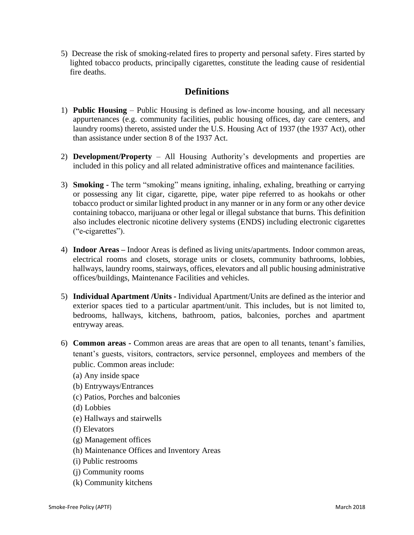5) Decrease the risk of smoking-related fires to property and personal safety. Fires started by lighted tobacco products, principally cigarettes, constitute the leading cause of residential fire deaths.

#### **Definitions**

- 1) **Public Housing** Public Housing is defined as low-income housing, and all necessary appurtenances (e.g. community facilities, public housing offices, day care centers, and laundry rooms) thereto, assisted under the U.S. Housing Act of 1937 (the 1937 Act), other than assistance under section 8 of the 1937 Act.
- 2) **Development/Property** All Housing Authority's developments and properties are included in this policy and all related administrative offices and maintenance facilities.
- 3) **Smoking -** The term "smoking" means igniting, inhaling, exhaling, breathing or carrying or possessing any lit cigar, cigarette, pipe, water pipe referred to as hookahs or other tobacco product or similar lighted product in any manner or in any form or any other device containing tobacco, marijuana or other legal or illegal substance that burns. This definition also includes electronic nicotine delivery systems (ENDS) including electronic cigarettes ("e-cigarettes").
- 4) **Indoor Areas –** Indoor Areas is defined as living units/apartments. Indoor common areas, electrical rooms and closets, storage units or closets, community bathrooms, lobbies, hallways, laundry rooms, stairways, offices, elevators and all public housing administrative offices/buildings, Maintenance Facilities and vehicles.
- 5) **Individual Apartment /Units -** Individual Apartment/Units are defined as the interior and exterior spaces tied to a particular apartment/unit. This includes, but is not limited to, bedrooms, hallways, kitchens, bathroom, patios, balconies, porches and apartment entryway areas.
- 6) **Common areas -** Common areas are areas that are open to all tenants, tenant's families, tenant's guests, visitors, contractors, service personnel, employees and members of the public. Common areas include:
	- (a) Any inside space
	- (b) Entryways/Entrances
	- (c) Patios, Porches and balconies
	- (d) Lobbies
	- (e) Hallways and stairwells
	- (f) Elevators
	- (g) Management offices
	- (h) Maintenance Offices and Inventory Areas
	- (i) Public restrooms
	- (j) Community rooms
	- (k) Community kitchens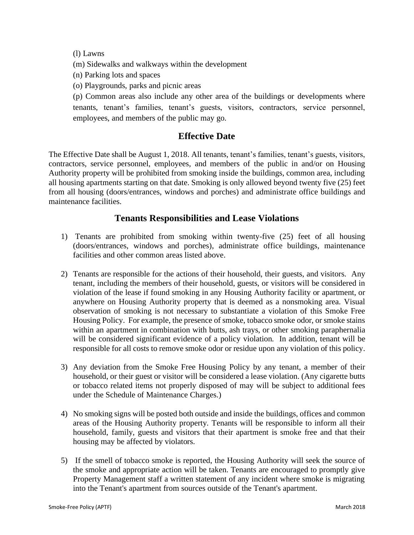(l) Lawns

- (m) Sidewalks and walkways within the development
- (n) Parking lots and spaces
- (o) Playgrounds, parks and picnic areas

(p) Common areas also include any other area of the buildings or developments where tenants, tenant's families, tenant's guests, visitors, contractors, service personnel, employees, and members of the public may go.

#### **Effective Date**

The Effective Date shall be August 1, 2018. All tenants, tenant's families, tenant's guests, visitors, contractors, service personnel, employees, and members of the public in and/or on Housing Authority property will be prohibited from smoking inside the buildings, common area, including all housing apartments starting on that date. Smoking is only allowed beyond twenty five (25) feet from all housing (doors/entrances, windows and porches) and administrate office buildings and maintenance facilities.

#### **Tenants Responsibilities and Lease Violations**

- 1) Tenants are prohibited from smoking within twenty-five (25) feet of all housing (doors/entrances, windows and porches), administrate office buildings, maintenance facilities and other common areas listed above.
- 2) Tenants are responsible for the actions of their household, their guests, and visitors. Any tenant, including the members of their household, guests, or visitors will be considered in violation of the lease if found smoking in any Housing Authority facility or apartment, or anywhere on Housing Authority property that is deemed as a nonsmoking area. Visual observation of smoking is not necessary to substantiate a violation of this Smoke Free Housing Policy. For example, the presence of smoke, tobacco smoke odor, or smoke stains within an apartment in combination with butts, ash trays, or other smoking paraphernalia will be considered significant evidence of a policy violation. In addition, tenant will be responsible for all costs to remove smoke odor or residue upon any violation of this policy.
- 3) Any deviation from the Smoke Free Housing Policy by any tenant, a member of their household, or their guest or visitor will be considered a lease violation. (Any cigarette butts or tobacco related items not properly disposed of may will be subject to additional fees under the Schedule of Maintenance Charges.)
- 4) No smoking signs will be posted both outside and inside the buildings, offices and common areas of the Housing Authority property. Tenants will be responsible to inform all their household, family, guests and visitors that their apartment is smoke free and that their housing may be affected by violators.
- 5) If the smell of tobacco smoke is reported, the Housing Authority will seek the source of the smoke and appropriate action will be taken. Tenants are encouraged to promptly give Property Management staff a written statement of any incident where smoke is migrating into the Tenant's apartment from sources outside of the Tenant's apartment.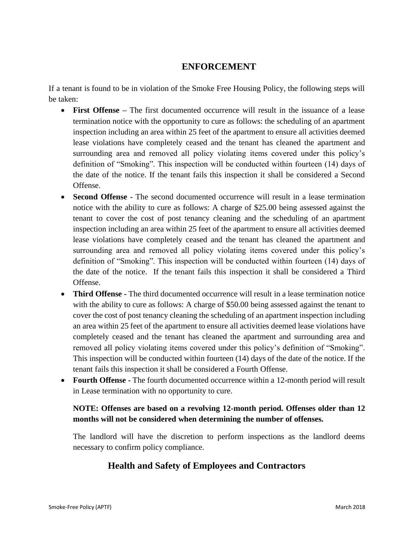#### **ENFORCEMENT**

If a tenant is found to be in violation of the Smoke Free Housing Policy, the following steps will be taken:

- **First Offense –** The first documented occurrence will result in the issuance of a lease termination notice with the opportunity to cure as follows: the scheduling of an apartment inspection including an area within 25 feet of the apartment to ensure all activities deemed lease violations have completely ceased and the tenant has cleaned the apartment and surrounding area and removed all policy violating items covered under this policy's definition of "Smoking". This inspection will be conducted within fourteen (14) days of the date of the notice. If the tenant fails this inspection it shall be considered a Second Offense.
- **Second Offense -** The second documented occurrence will result in a lease termination notice with the ability to cure as follows: A charge of \$25.00 being assessed against the tenant to cover the cost of post tenancy cleaning and the scheduling of an apartment inspection including an area within 25 feet of the apartment to ensure all activities deemed lease violations have completely ceased and the tenant has cleaned the apartment and surrounding area and removed all policy violating items covered under this policy's definition of "Smoking". This inspection will be conducted within fourteen (14) days of the date of the notice. If the tenant fails this inspection it shall be considered a Third Offense.
- **Third Offense -** The third documented occurrence will result in a lease termination notice with the ability to cure as follows: A charge of \$50.00 being assessed against the tenant to cover the cost of post tenancy cleaning the scheduling of an apartment inspection including an area within 25 feet of the apartment to ensure all activities deemed lease violations have completely ceased and the tenant has cleaned the apartment and surrounding area and removed all policy violating items covered under this policy's definition of "Smoking". This inspection will be conducted within fourteen (14) days of the date of the notice. If the tenant fails this inspection it shall be considered a Fourth Offense.
- **Fourth Offense -** The fourth documented occurrence within a 12-month period will result in Lease termination with no opportunity to cure.

#### **NOTE: Offenses are based on a revolving 12-month period. Offenses older than 12 months will not be considered when determining the number of offenses.**

The landlord will have the discretion to perform inspections as the landlord deems necessary to confirm policy compliance.

## **Health and Safety of Employees and Contractors**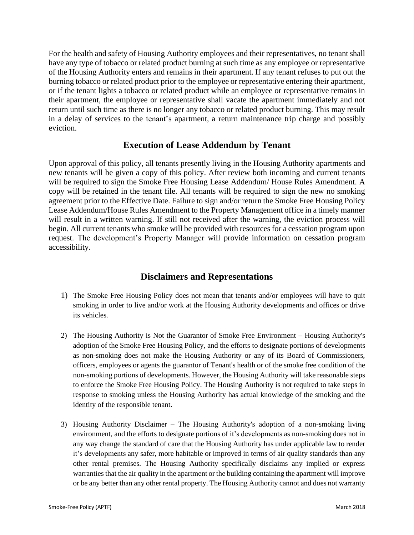For the health and safety of Housing Authority employees and their representatives, no tenant shall have any type of tobacco or related product burning at such time as any employee or representative of the Housing Authority enters and remains in their apartment. If any tenant refuses to put out the burning tobacco or related product prior to the employee or representative entering their apartment, or if the tenant lights a tobacco or related product while an employee or representative remains in their apartment, the employee or representative shall vacate the apartment immediately and not return until such time as there is no longer any tobacco or related product burning. This may result in a delay of services to the tenant's apartment, a return maintenance trip charge and possibly eviction.

#### **Execution of Lease Addendum by Tenant**

Upon approval of this policy, all tenants presently living in the Housing Authority apartments and new tenants will be given a copy of this policy. After review both incoming and current tenants will be required to sign the Smoke Free Housing Lease Addendum/ House Rules Amendment. A copy will be retained in the tenant file. All tenants will be required to sign the new no smoking agreement prior to the Effective Date. Failure to sign and/or return the Smoke Free Housing Policy Lease Addendum/House Rules Amendment to the Property Management office in a timely manner will result in a written warning. If still not received after the warning, the eviction process will begin. All current tenants who smoke will be provided with resources for a cessation program upon request. The development's Property Manager will provide information on cessation program accessibility.

## **Disclaimers and Representations**

- 1) The Smoke Free Housing Policy does not mean that tenants and/or employees will have to quit smoking in order to live and/or work at the Housing Authority developments and offices or drive its vehicles.
- 2) The Housing Authority is Not the Guarantor of Smoke Free Environment Housing Authority's adoption of the Smoke Free Housing Policy, and the efforts to designate portions of developments as non-smoking does not make the Housing Authority or any of its Board of Commissioners, officers, employees or agents the guarantor of Tenant's health or of the smoke free condition of the non-smoking portions of developments. However, the Housing Authority will take reasonable steps to enforce the Smoke Free Housing Policy. The Housing Authority is not required to take steps in response to smoking unless the Housing Authority has actual knowledge of the smoking and the identity of the responsible tenant.
- 3) Housing Authority Disclaimer The Housing Authority's adoption of a non-smoking living environment, and the efforts to designate portions of it's developments as non-smoking does not in any way change the standard of care that the Housing Authority has under applicable law to render it's developments any safer, more habitable or improved in terms of air quality standards than any other rental premises. The Housing Authority specifically disclaims any implied or express warranties that the air quality in the apartment or the building containing the apartment will improve or be any better than any other rental property. The Housing Authority cannot and does not warranty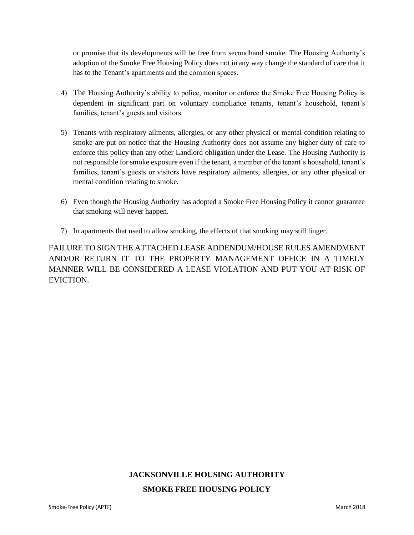or promise that its developments will be free from secondhand smoke. The Housing Authority's adoption of the Smoke Free Housing Policy does not in any way change the standard of care that it has to the Tenant's apartments and the common spaces.

- 4) The Housing Authority's ability to police, monitor or enforce the Smoke Free Housing Policy is dependent in significant part on voluntary compliance tenants, tenant's household, tenant's families, tenant's guests and visitors.
- 5) Tenants with respiratory ailments, allergies, or any other physical or mental condition relating to smoke are put on notice that the Housing Authority does not assume any higher duty of care to enforce this policy than any other Landlord obligation under the Lease. The Housing Authority is not responsible for smoke exposure even if the tenant, a member of the tenant's household, tenant's families, tenant's guests or visitors have respiratory ailments, allergies, or any other physical or mental condition relating to smoke.
- 6) Even though the Housing Authority has adopted a Smoke Free Housing Policy it cannot guarantee that smoking will never happen.
- 7) In apartments that used to allow smoking, the effects of that smoking may still linger.

FAILURE TO SIGN THE ATTACHED LEASE ADDENDUM/HOUSE RULES AMENDMENT AND/OR RETURN IT TO THE PROPERTY MANAGEMENT OFFICE IN A TIMELY MANNER WILL BE CONSIDERED A LEASE VIOLATION AND PUT YOU AT RISK OF EVICTION.

# **JACKSONVILLE HOUSING AUTHORITY SMOKE FREE HOUSING POLICY**